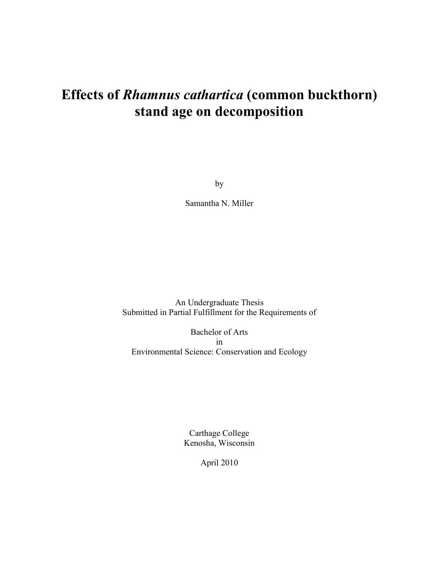# **Effects of** *Rhamnus cathartica* **(common buckthorn) stand age on decomposition**

by

Samantha N. Miller

An Undergraduate Thesis Submitted in Partial Fulfillment for the Requirements of

Bachelor of Arts in Environmental Science: Conservation and Ecology

> Carthage College Kenosha, Wisconsin

> > April 2010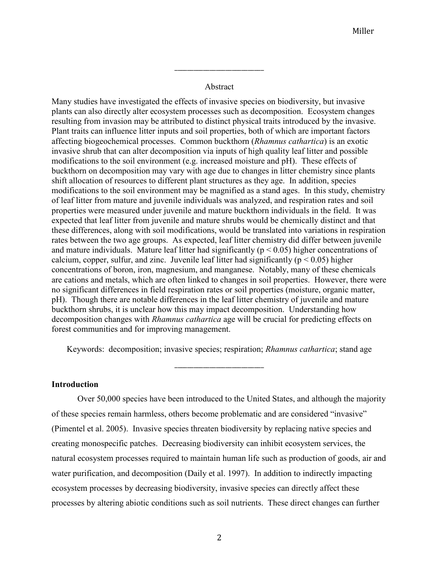### Abstract

\_\_\_\_\_\_\_\_\_\_\_\_\_\_\_\_\_\_\_\_\_\_\_\_\_\_\_\_

Many studies have investigated the effects of invasive species on biodiversity, but invasive plants can also directly alter ecosystem processes such as decomposition. Ecosystem changes resulting from invasion may be attributed to distinct physical traits introduced by the invasive. Plant traits can influence litter inputs and soil properties, both of which are important factors affecting biogeochemical processes. Common buckthorn (*Rhamnus cathartica*) is an exotic invasive shrub that can alter decomposition via inputs of high quality leaf litter and possible modifications to the soil environment (e.g. increased moisture and pH). These effects of buckthorn on decomposition may vary with age due to changes in litter chemistry since plants shift allocation of resources to different plant structures as they age. In addition, species modifications to the soil environment may be magnified as a stand ages. In this study, chemistry of leaf litter from mature and juvenile individuals was analyzed, and respiration rates and soil properties were measured under juvenile and mature buckthorn individuals in the field. It was expected that leaf litter from juvenile and mature shrubs would be chemically distinct and that these differences, along with soil modifications, would be translated into variations in respiration rates between the two age groups. As expected, leaf litter chemistry did differ between juvenile and mature individuals. Mature leaf litter had significantly ( $p < 0.05$ ) higher concentrations of calcium, copper, sulfur, and zinc. Juvenile leaf litter had significantly ( $p < 0.05$ ) higher concentrations of boron, iron, magnesium, and manganese. Notably, many of these chemicals are cations and metals, which are often linked to changes in soil properties. However, there were no significant differences in field respiration rates or soil properties (moisture, organic matter, pH). Though there are notable differences in the leaf litter chemistry of juvenile and mature buckthorn shrubs, it is unclear how this may impact decomposition. Understanding how decomposition changes with *Rhamnus cathartica* age will be crucial for predicting effects on forest communities and for improving management.

Keywords: decomposition; invasive species; respiration; *Rhamnus cathartica*; stand age

\_\_\_\_\_\_\_\_\_\_\_\_\_\_\_\_\_\_\_\_\_\_\_\_\_\_\_\_

#### **Introduction**

Over 50,000 species have been introduced to the United States, and although the majority of these species remain harmless, others become problematic and are considered "invasive" (Pimentel et al. 2005). Invasive species threaten biodiversity by replacing native species and creating monospecific patches. Decreasing biodiversity can inhibit ecosystem services, the natural ecosystem processes required to maintain human life such as production of goods, air and water purification, and decomposition (Daily et al. 1997). In addition to indirectly impacting ecosystem processes by decreasing biodiversity, invasive species can directly affect these processes by altering abiotic conditions such as soil nutrients. These direct changes can further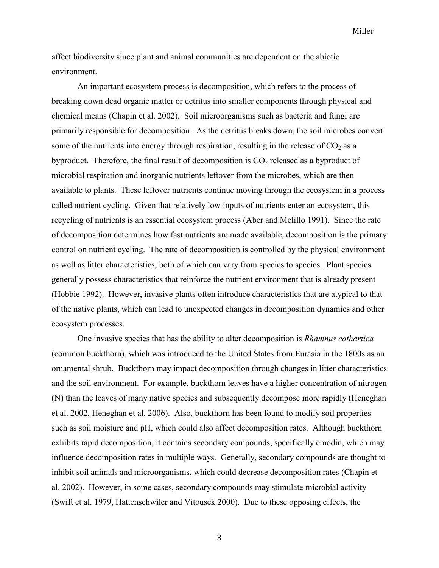affect biodiversity since plant and animal communities are dependent on the abiotic environment.

An important ecosystem process is decomposition, which refers to the process of breaking down dead organic matter or detritus into smaller components through physical and chemical means (Chapin et al. 2002). Soil microorganisms such as bacteria and fungi are primarily responsible for decomposition. As the detritus breaks down, the soil microbes convert some of the nutrients into energy through respiration, resulting in the release of  $CO<sub>2</sub>$  as a byproduct. Therefore, the final result of decomposition is  $CO<sub>2</sub>$  released as a byproduct of microbial respiration and inorganic nutrients leftover from the microbes, which are then available to plants. These leftover nutrients continue moving through the ecosystem in a process called nutrient cycling. Given that relatively low inputs of nutrients enter an ecosystem, this recycling of nutrients is an essential ecosystem process (Aber and Melillo 1991). Since the rate of decomposition determines how fast nutrients are made available, decomposition is the primary control on nutrient cycling. The rate of decomposition is controlled by the physical environment as well as litter characteristics, both of which can vary from species to species. Plant species generally possess characteristics that reinforce the nutrient environment that is already present (Hobbie 1992). However, invasive plants often introduce characteristics that are atypical to that of the native plants, which can lead to unexpected changes in decomposition dynamics and other ecosystem processes.

One invasive species that has the ability to alter decomposition is *Rhamnus cathartica* (common buckthorn), which was introduced to the United States from Eurasia in the 1800s as an ornamental shrub. Buckthorn may impact decomposition through changes in litter characteristics and the soil environment. For example, buckthorn leaves have a higher concentration of nitrogen (N) than the leaves of many native species and subsequently decompose more rapidly (Heneghan et al. 2002, Heneghan et al. 2006). Also, buckthorn has been found to modify soil properties such as soil moisture and pH, which could also affect decomposition rates. Although buckthorn exhibits rapid decomposition, it contains secondary compounds, specifically emodin, which may influence decomposition rates in multiple ways. Generally, secondary compounds are thought to inhibit soil animals and microorganisms, which could decrease decomposition rates (Chapin et al. 2002). However, in some cases, secondary compounds may stimulate microbial activity (Swift et al. 1979, Hattenschwiler and Vitousek 2000). Due to these opposing effects, the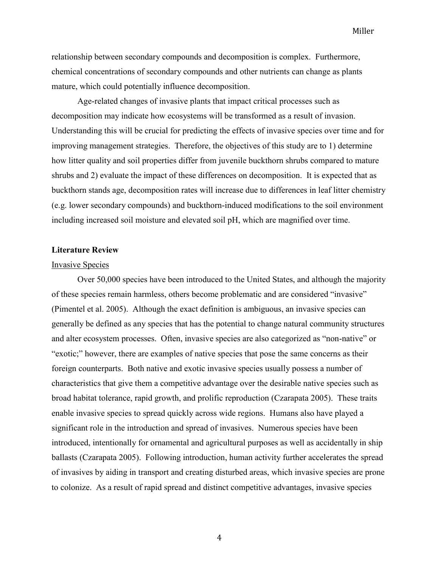relationship between secondary compounds and decomposition is complex. Furthermore, chemical concentrations of secondary compounds and other nutrients can change as plants mature, which could potentially influence decomposition.

Age-related changes of invasive plants that impact critical processes such as decomposition may indicate how ecosystems will be transformed as a result of invasion. Understanding this will be crucial for predicting the effects of invasive species over time and for improving management strategies. Therefore, the objectives of this study are to 1) determine how litter quality and soil properties differ from juvenile buckthorn shrubs compared to mature shrubs and 2) evaluate the impact of these differences on decomposition. It is expected that as buckthorn stands age, decomposition rates will increase due to differences in leaf litter chemistry (e.g. lower secondary compounds) and buckthorn-induced modifications to the soil environment including increased soil moisture and elevated soil pH, which are magnified over time.

#### **Literature Review**

#### Invasive Species

Over 50,000 species have been introduced to the United States, and although the majority of these species remain harmless, others become problematic and are considered "invasive" (Pimentel et al. 2005). Although the exact definition is ambiguous, an invasive species can generally be defined as any species that has the potential to change natural community structures and alter ecosystem processes. Often, invasive species are also categorized as "non-native" or "exotic;" however, there are examples of native species that pose the same concerns as their foreign counterparts. Both native and exotic invasive species usually possess a number of characteristics that give them a competitive advantage over the desirable native species such as broad habitat tolerance, rapid growth, and prolific reproduction (Czarapata 2005). These traits enable invasive species to spread quickly across wide regions. Humans also have played a significant role in the introduction and spread of invasives. Numerous species have been introduced, intentionally for ornamental and agricultural purposes as well as accidentally in ship ballasts (Czarapata 2005). Following introduction, human activity further accelerates the spread of invasives by aiding in transport and creating disturbed areas, which invasive species are prone to colonize. As a result of rapid spread and distinct competitive advantages, invasive species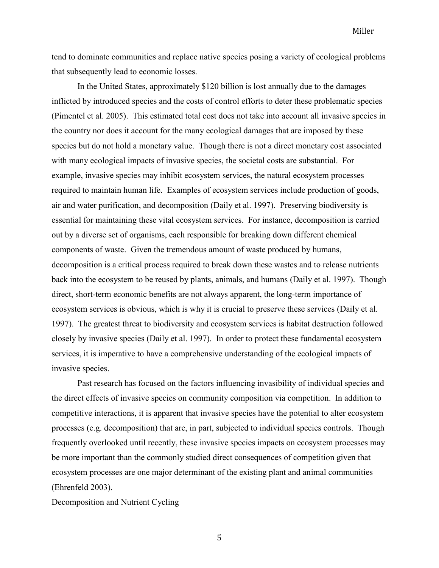tend to dominate communities and replace native species posing a variety of ecological problems that subsequently lead to economic losses.

In the United States, approximately \$120 billion is lost annually due to the damages inflicted by introduced species and the costs of control efforts to deter these problematic species (Pimentel et al. 2005). This estimated total cost does not take into account all invasive species in the country nor does it account for the many ecological damages that are imposed by these species but do not hold a monetary value. Though there is not a direct monetary cost associated with many ecological impacts of invasive species, the societal costs are substantial. For example, invasive species may inhibit ecosystem services, the natural ecosystem processes required to maintain human life. Examples of ecosystem services include production of goods, air and water purification, and decomposition (Daily et al. 1997). Preserving biodiversity is essential for maintaining these vital ecosystem services. For instance, decomposition is carried out by a diverse set of organisms, each responsible for breaking down different chemical components of waste. Given the tremendous amount of waste produced by humans, decomposition is a critical process required to break down these wastes and to release nutrients back into the ecosystem to be reused by plants, animals, and humans (Daily et al. 1997). Though direct, short-term economic benefits are not always apparent, the long-term importance of ecosystem services is obvious, which is why it is crucial to preserve these services (Daily et al. 1997). The greatest threat to biodiversity and ecosystem services is habitat destruction followed closely by invasive species (Daily et al. 1997). In order to protect these fundamental ecosystem services, it is imperative to have a comprehensive understanding of the ecological impacts of invasive species.

Past research has focused on the factors influencing invasibility of individual species and the direct effects of invasive species on community composition via competition. In addition to competitive interactions, it is apparent that invasive species have the potential to alter ecosystem processes (e.g. decomposition) that are, in part, subjected to individual species controls. Though frequently overlooked until recently, these invasive species impacts on ecosystem processes may be more important than the commonly studied direct consequences of competition given that ecosystem processes are one major determinant of the existing plant and animal communities (Ehrenfeld 2003).

#### Decomposition and Nutrient Cycling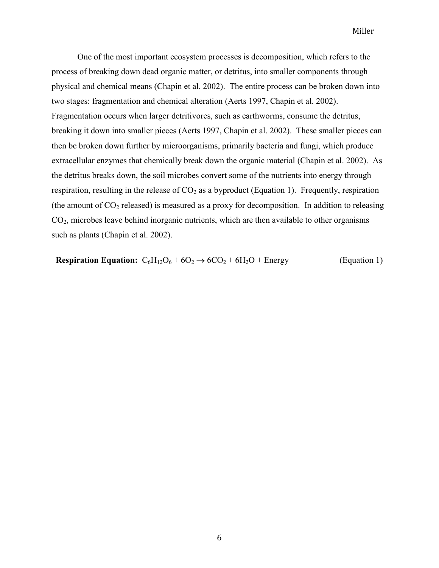One of the most important ecosystem processes is decomposition, which refers to the process of breaking down dead organic matter, or detritus, into smaller components through physical and chemical means (Chapin et al. 2002). The entire process can be broken down into two stages: fragmentation and chemical alteration (Aerts 1997, Chapin et al. 2002). Fragmentation occurs when larger detritivores, such as earthworms, consume the detritus, breaking it down into smaller pieces (Aerts 1997, Chapin et al. 2002). These smaller pieces can then be broken down further by microorganisms, primarily bacteria and fungi, which produce extracellular enzymes that chemically break down the organic material (Chapin et al. 2002). As the detritus breaks down, the soil microbes convert some of the nutrients into energy through respiration, resulting in the release of  $CO<sub>2</sub>$  as a byproduct (Equation 1). Frequently, respiration (the amount of  $CO_2$  released) is measured as a proxy for decomposition. In addition to releasing CO2, microbes leave behind inorganic nutrients, which are then available to other organisms such as plants (Chapin et al. 2002).

**Respiration Equation:**  $C_6H_{12}O_6 + 6O_2 \rightarrow 6CO_2 + 6H_2O +$  Energy (Equation 1)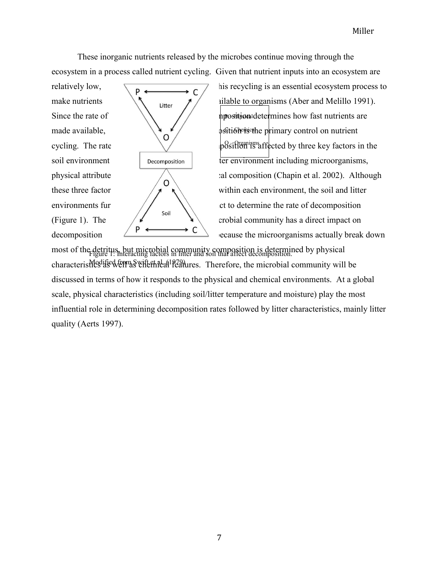These inorganic nutrients released by the microbes continue moving through the ecosystem in a process called nutrient cycling. Given that nutrient inputs into an ecosystem are



relatively low,  $\boxed{p \longleftarrow}$  this recycling is an essential ecosystem process to cycling. The rate  $\sqrt{\phantom{a}}$  position is affected by three key factors in the physical attribute and composition (Chapin et al. 2002). Although decomposition  $\left\langle P \leftarrow \leftarrow C \right\rangle$  ecause the microorganisms actually break down

most of the detritus, but microbial community composition is determined by physical Figure 1: Interacting factors in litter and soil that affect decomposition. characteristics is well as well as well as a Therefore, the microbial community will be discussed in terms of how it responds to the physical and chemical environments. At a global scale, physical characteristics (including soil/litter temperature and moisture) play the most influential role in determining decomposition rates followed by litter characteristics, mainly litter quality (Aerts 1997).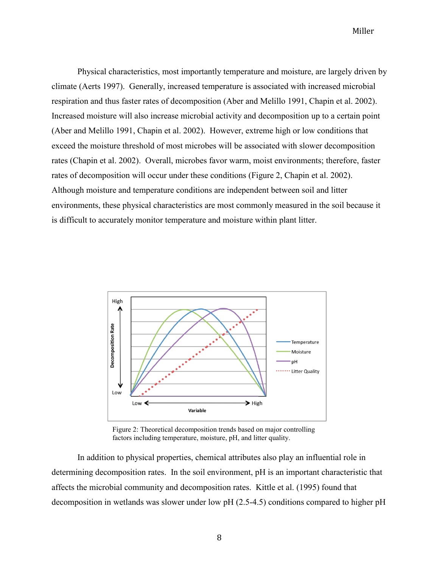Physical characteristics, most importantly temperature and moisture, are largely driven by climate (Aerts 1997). Generally, increased temperature is associated with increased microbial respiration and thus faster rates of decomposition (Aber and Melillo 1991, Chapin et al. 2002). Increased moisture will also increase microbial activity and decomposition up to a certain point (Aber and Melillo 1991, Chapin et al. 2002). However, extreme high or low conditions that exceed the moisture threshold of most microbes will be associated with slower decomposition rates (Chapin et al. 2002). Overall, microbes favor warm, moist environments; therefore, faster rates of decomposition will occur under these conditions (Figure 2, Chapin et al. 2002). Although moisture and temperature conditions are independent between soil and litter environments, these physical characteristics are most commonly measured in the soil because it is difficult to accurately monitor temperature and moisture within plant litter.



Figure 2: Theoretical decomposition trends based on major controlling factors including temperature, moisture, pH, and litter quality.

In addition to physical properties, chemical attributes also play an influential role in determining decomposition rates. In the soil environment, pH is an important characteristic that affects the microbial community and decomposition rates. Kittle et al. (1995) found that decomposition in wetlands was slower under low pH (2.5-4.5) conditions compared to higher pH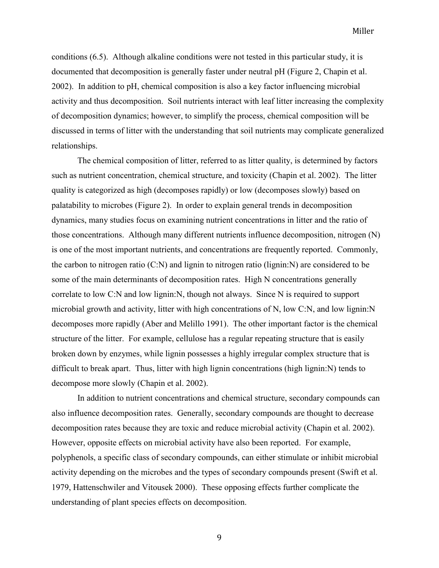conditions (6.5). Although alkaline conditions were not tested in this particular study, it is documented that decomposition is generally faster under neutral pH (Figure 2, Chapin et al. 2002). In addition to pH, chemical composition is also a key factor influencing microbial activity and thus decomposition. Soil nutrients interact with leaf litter increasing the complexity of decomposition dynamics; however, to simplify the process, chemical composition will be discussed in terms of litter with the understanding that soil nutrients may complicate generalized relationships.

The chemical composition of litter, referred to as litter quality, is determined by factors such as nutrient concentration, chemical structure, and toxicity (Chapin et al. 2002). The litter quality is categorized as high (decomposes rapidly) or low (decomposes slowly) based on palatability to microbes (Figure 2). In order to explain general trends in decomposition dynamics, many studies focus on examining nutrient concentrations in litter and the ratio of those concentrations. Although many different nutrients influence decomposition, nitrogen (N) is one of the most important nutrients, and concentrations are frequently reported. Commonly, the carbon to nitrogen ratio  $(C:N)$  and lignin to nitrogen ratio (lignin: N) are considered to be some of the main determinants of decomposition rates. High N concentrations generally correlate to low C:N and low lignin:N, though not always. Since N is required to support microbial growth and activity, litter with high concentrations of N, low C:N, and low lignin:N decomposes more rapidly (Aber and Melillo 1991). The other important factor is the chemical structure of the litter. For example, cellulose has a regular repeating structure that is easily broken down by enzymes, while lignin possesses a highly irregular complex structure that is difficult to break apart. Thus, litter with high lignin concentrations (high lignin:N) tends to decompose more slowly (Chapin et al. 2002).

In addition to nutrient concentrations and chemical structure, secondary compounds can also influence decomposition rates. Generally, secondary compounds are thought to decrease decomposition rates because they are toxic and reduce microbial activity (Chapin et al. 2002). However, opposite effects on microbial activity have also been reported. For example, polyphenols, a specific class of secondary compounds, can either stimulate or inhibit microbial activity depending on the microbes and the types of secondary compounds present (Swift et al. 1979, Hattenschwiler and Vitousek 2000). These opposing effects further complicate the understanding of plant species effects on decomposition.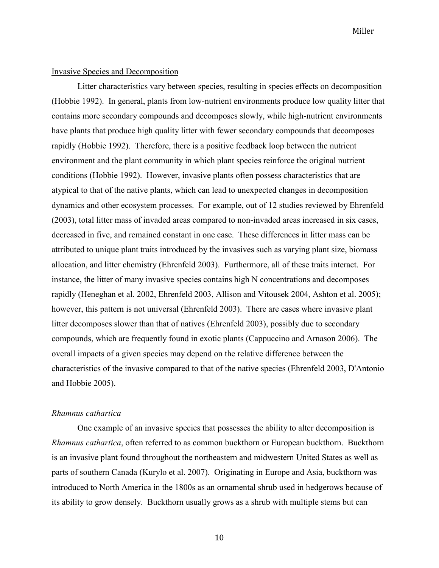#### Invasive Species and Decomposition

Litter characteristics vary between species, resulting in species effects on decomposition (Hobbie 1992). In general, plants from low-nutrient environments produce low quality litter that contains more secondary compounds and decomposes slowly, while high-nutrient environments have plants that produce high quality litter with fewer secondary compounds that decomposes rapidly (Hobbie 1992). Therefore, there is a positive feedback loop between the nutrient environment and the plant community in which plant species reinforce the original nutrient conditions (Hobbie 1992). However, invasive plants often possess characteristics that are atypical to that of the native plants, which can lead to unexpected changes in decomposition dynamics and other ecosystem processes. For example, out of 12 studies reviewed by Ehrenfeld (2003), total litter mass of invaded areas compared to non-invaded areas increased in six cases, decreased in five, and remained constant in one case. These differences in litter mass can be attributed to unique plant traits introduced by the invasives such as varying plant size, biomass allocation, and litter chemistry (Ehrenfeld 2003). Furthermore, all of these traits interact. For instance, the litter of many invasive species contains high N concentrations and decomposes rapidly (Heneghan et al. 2002, Ehrenfeld 2003, Allison and Vitousek 2004, Ashton et al. 2005); however, this pattern is not universal (Ehrenfeld 2003). There are cases where invasive plant litter decomposes slower than that of natives (Ehrenfeld 2003), possibly due to secondary compounds, which are frequently found in exotic plants (Cappuccino and Arnason 2006). The overall impacts of a given species may depend on the relative difference between the characteristics of the invasive compared to that of the native species (Ehrenfeld 2003, D'Antonio and Hobbie 2005).

#### *Rhamnus cathartica*

One example of an invasive species that possesses the ability to alter decomposition is *Rhamnus cathartica*, often referred to as common buckthorn or European buckthorn. Buckthorn is an invasive plant found throughout the northeastern and midwestern United States as well as parts of southern Canada (Kurylo et al. 2007). Originating in Europe and Asia, buckthorn was introduced to North America in the 1800s as an ornamental shrub used in hedgerows because of its ability to grow densely. Buckthorn usually grows as a shrub with multiple stems but can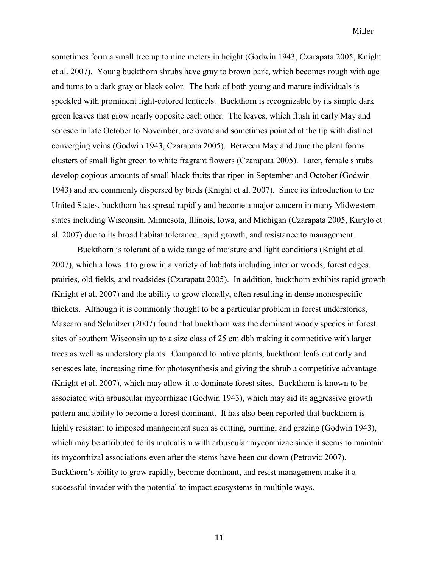sometimes form a small tree up to nine meters in height (Godwin 1943, Czarapata 2005, Knight et al. 2007). Young buckthorn shrubs have gray to brown bark, which becomes rough with age and turns to a dark gray or black color. The bark of both young and mature individuals is speckled with prominent light-colored lenticels. Buckthorn is recognizable by its simple dark green leaves that grow nearly opposite each other. The leaves, which flush in early May and senesce in late October to November, are ovate and sometimes pointed at the tip with distinct converging veins (Godwin 1943, Czarapata 2005). Between May and June the plant forms clusters of small light green to white fragrant flowers (Czarapata 2005). Later, female shrubs develop copious amounts of small black fruits that ripen in September and October (Godwin 1943) and are commonly dispersed by birds (Knight et al. 2007). Since its introduction to the United States, buckthorn has spread rapidly and become a major concern in many Midwestern states including Wisconsin, Minnesota, Illinois, Iowa, and Michigan (Czarapata 2005, Kurylo et al. 2007) due to its broad habitat tolerance, rapid growth, and resistance to management.

Buckthorn is tolerant of a wide range of moisture and light conditions (Knight et al. 2007), which allows it to grow in a variety of habitats including interior woods, forest edges, prairies, old fields, and roadsides (Czarapata 2005). In addition, buckthorn exhibits rapid growth (Knight et al. 2007) and the ability to grow clonally, often resulting in dense monospecific thickets. Although it is commonly thought to be a particular problem in forest understories, Mascaro and Schnitzer (2007) found that buckthorn was the dominant woody species in forest sites of southern Wisconsin up to a size class of 25 cm dbh making it competitive with larger trees as well as understory plants. Compared to native plants, buckthorn leafs out early and senesces late, increasing time for photosynthesis and giving the shrub a competitive advantage (Knight et al. 2007), which may allow it to dominate forest sites. Buckthorn is known to be associated with arbuscular mycorrhizae (Godwin 1943), which may aid its aggressive growth pattern and ability to become a forest dominant. It has also been reported that buckthorn is highly resistant to imposed management such as cutting, burning, and grazing (Godwin 1943), which may be attributed to its mutualism with arbuscular mycorrhizae since it seems to maintain its mycorrhizal associations even after the stems have been cut down (Petrovic 2007). Buckthorn's ability to grow rapidly, become dominant, and resist management make it a successful invader with the potential to impact ecosystems in multiple ways.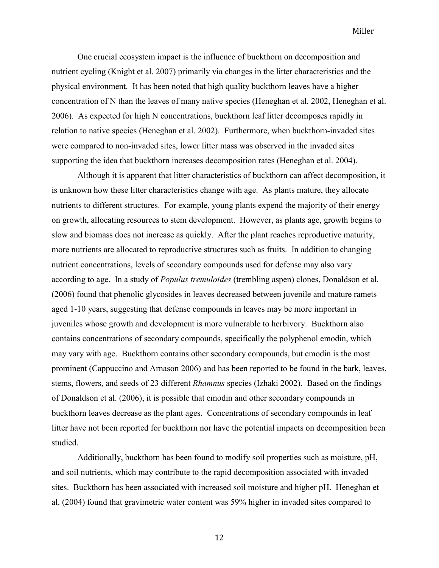One crucial ecosystem impact is the influence of buckthorn on decomposition and nutrient cycling (Knight et al. 2007) primarily via changes in the litter characteristics and the physical environment. It has been noted that high quality buckthorn leaves have a higher concentration of N than the leaves of many native species (Heneghan et al. 2002, Heneghan et al. 2006). As expected for high N concentrations, buckthorn leaf litter decomposes rapidly in relation to native species (Heneghan et al. 2002). Furthermore, when buckthorn-invaded sites were compared to non-invaded sites, lower litter mass was observed in the invaded sites supporting the idea that buckthorn increases decomposition rates (Heneghan et al. 2004).

Although it is apparent that litter characteristics of buckthorn can affect decomposition, it is unknown how these litter characteristics change with age. As plants mature, they allocate nutrients to different structures. For example, young plants expend the majority of their energy on growth, allocating resources to stem development. However, as plants age, growth begins to slow and biomass does not increase as quickly. After the plant reaches reproductive maturity, more nutrients are allocated to reproductive structures such as fruits. In addition to changing nutrient concentrations, levels of secondary compounds used for defense may also vary according to age. In a study of *Populus tremuloides* (trembling aspen) clones, Donaldson et al. (2006) found that phenolic glycosides in leaves decreased between juvenile and mature ramets aged 1-10 years, suggesting that defense compounds in leaves may be more important in juveniles whose growth and development is more vulnerable to herbivory. Buckthorn also contains concentrations of secondary compounds, specifically the polyphenol emodin, which may vary with age. Buckthorn contains other secondary compounds, but emodin is the most prominent (Cappuccino and Arnason 2006) and has been reported to be found in the bark, leaves, stems, flowers, and seeds of 23 different *Rhamnus* species (Izhaki 2002). Based on the findings of Donaldson et al. (2006), it is possible that emodin and other secondary compounds in buckthorn leaves decrease as the plant ages. Concentrations of secondary compounds in leaf litter have not been reported for buckthorn nor have the potential impacts on decomposition been studied.

Additionally, buckthorn has been found to modify soil properties such as moisture, pH, and soil nutrients, which may contribute to the rapid decomposition associated with invaded sites. Buckthorn has been associated with increased soil moisture and higher pH. Heneghan et al. (2004) found that gravimetric water content was 59% higher in invaded sites compared to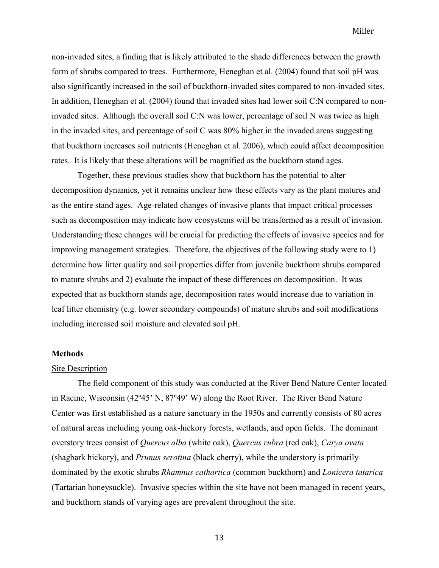non-invaded sites, a finding that is likely attributed to the shade differences between the growth form of shrubs compared to trees. Furthermore, Heneghan et al. (2004) found that soil pH was also significantly increased in the soil of buckthorn-invaded sites compared to non-invaded sites. In addition, Heneghan et al. (2004) found that invaded sites had lower soil C:N compared to noninvaded sites. Although the overall soil C:N was lower, percentage of soil N was twice as high in the invaded sites, and percentage of soil C was 80% higher in the invaded areas suggesting that buckthorn increases soil nutrients (Heneghan et al. 2006), which could affect decomposition rates. It is likely that these alterations will be magnified as the buckthorn stand ages.

Together, these previous studies show that buckthorn has the potential to alter decomposition dynamics, yet it remains unclear how these effects vary as the plant matures and as the entire stand ages. Age-related changes of invasive plants that impact critical processes such as decomposition may indicate how ecosystems will be transformed as a result of invasion. Understanding these changes will be crucial for predicting the effects of invasive species and for improving management strategies. Therefore, the objectives of the following study were to 1) determine how litter quality and soil properties differ from juvenile buckthorn shrubs compared to mature shrubs and 2) evaluate the impact of these differences on decomposition. It was expected that as buckthorn stands age, decomposition rates would increase due to variation in leaf litter chemistry (e.g. lower secondary compounds) of mature shrubs and soil modifications including increased soil moisture and elevated soil pH.

#### **Methods**

#### Site Description

The field component of this study was conducted at the River Bend Nature Center located in Racine, Wisconsin (42º45' N, 87º49' W) along the Root River. The River Bend Nature Center was first established as a nature sanctuary in the 1950s and currently consists of 80 acres of natural areas including young oak-hickory forests, wetlands, and open fields. The dominant overstory trees consist of *Quercus alba* (white oak), *Quercus rubra* (red oak), *Carya ovata* (shagbark hickory), and *Prunus serotina* (black cherry), while the understory is primarily dominated by the exotic shrubs *Rhamnus cathartica* (common buckthorn) and *Lonicera tatarica* (Tartarian honeysuckle). Invasive species within the site have not been managed in recent years, and buckthorn stands of varying ages are prevalent throughout the site.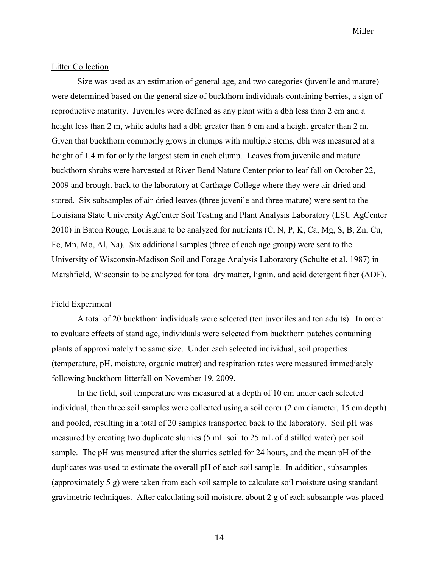#### Litter Collection

Size was used as an estimation of general age, and two categories (juvenile and mature) were determined based on the general size of buckthorn individuals containing berries, a sign of reproductive maturity. Juveniles were defined as any plant with a dbh less than 2 cm and a height less than 2 m, while adults had a dbh greater than 6 cm and a height greater than 2 m. Given that buckthorn commonly grows in clumps with multiple stems, dbh was measured at a height of 1.4 m for only the largest stem in each clump. Leaves from juvenile and mature buckthorn shrubs were harvested at River Bend Nature Center prior to leaf fall on October 22, 2009 and brought back to the laboratory at Carthage College where they were air-dried and stored. Six subsamples of air-dried leaves (three juvenile and three mature) were sent to the Louisiana State University AgCenter Soil Testing and Plant Analysis Laboratory (LSU AgCenter 2010) in Baton Rouge, Louisiana to be analyzed for nutrients (C, N, P, K, Ca, Mg, S, B, Zn, Cu, Fe, Mn, Mo, Al, Na). Six additional samples (three of each age group) were sent to the University of Wisconsin-Madison Soil and Forage Analysis Laboratory (Schulte et al. 1987) in Marshfield, Wisconsin to be analyzed for total dry matter, lignin, and acid detergent fiber (ADF).

#### Field Experiment

A total of 20 buckthorn individuals were selected (ten juveniles and ten adults). In order to evaluate effects of stand age, individuals were selected from buckthorn patches containing plants of approximately the same size. Under each selected individual, soil properties (temperature, pH, moisture, organic matter) and respiration rates were measured immediately following buckthorn litterfall on November 19, 2009.

In the field, soil temperature was measured at a depth of 10 cm under each selected individual, then three soil samples were collected using a soil corer (2 cm diameter, 15 cm depth) and pooled, resulting in a total of 20 samples transported back to the laboratory. Soil pH was measured by creating two duplicate slurries (5 mL soil to 25 mL of distilled water) per soil sample. The pH was measured after the slurries settled for 24 hours, and the mean pH of the duplicates was used to estimate the overall pH of each soil sample. In addition, subsamples (approximately 5 g) were taken from each soil sample to calculate soil moisture using standard gravimetric techniques. After calculating soil moisture, about 2 g of each subsample was placed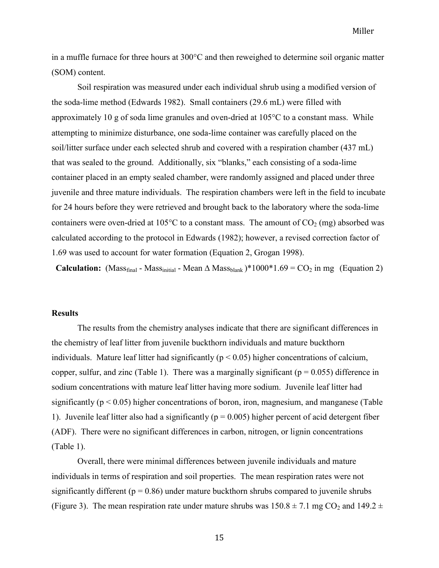in a muffle furnace for three hours at  $300^{\circ}$ C and then reweighed to determine soil organic matter (SOM) content.

Soil respiration was measured under each individual shrub using a modified version of the soda-lime method (Edwards 1982). Small containers (29.6 mL) were filled with approximately 10 g of soda lime granules and oven-dried at  $105^{\circ}$ C to a constant mass. While attempting to minimize disturbance, one soda-lime container was carefully placed on the soil/litter surface under each selected shrub and covered with a respiration chamber (437 mL) that was sealed to the ground. Additionally, six "blanks," each consisting of a soda-lime container placed in an empty sealed chamber, were randomly assigned and placed under three juvenile and three mature individuals. The respiration chambers were left in the field to incubate for 24 hours before they were retrieved and brought back to the laboratory where the soda-lime containers were oven-dried at 105°C to a constant mass. The amount of  $CO<sub>2</sub>$  (mg) absorbed was calculated according to the protocol in Edwards (1982); however, a revised correction factor of 1.69 was used to account for water formation (Equation 2, Grogan 1998).

**Calculation:** (Mass<sub>final</sub> - Mass<sub>initial</sub> - Mean  $\triangle$  Mass<sub>blank</sub>)\*1000\*1.69 = CO<sub>2</sub> in mg (Equation 2)

#### **Results**

The results from the chemistry analyses indicate that there are significant differences in the chemistry of leaf litter from juvenile buckthorn individuals and mature buckthorn individuals. Mature leaf litter had significantly ( $p < 0.05$ ) higher concentrations of calcium, copper, sulfur, and zinc (Table 1). There was a marginally significant ( $p = 0.055$ ) difference in sodium concentrations with mature leaf litter having more sodium. Juvenile leaf litter had significantly ( $p < 0.05$ ) higher concentrations of boron, iron, magnesium, and manganese (Table 1). Juvenile leaf litter also had a significantly ( $p = 0.005$ ) higher percent of acid detergent fiber (ADF). There were no significant differences in carbon, nitrogen, or lignin concentrations (Table 1).

Overall, there were minimal differences between juvenile individuals and mature individuals in terms of respiration and soil properties. The mean respiration rates were not significantly different ( $p = 0.86$ ) under mature buckthorn shrubs compared to juvenile shrubs (Figure 3). The mean respiration rate under mature shrubs was  $150.8 \pm 7.1$  mg CO<sub>2</sub> and  $149.2 \pm 7.1$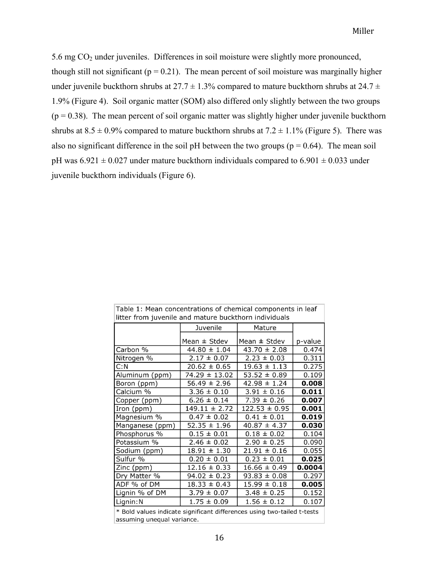5.6 mg CO<sup>2</sup> under juveniles. Differences in soil moisture were slightly more pronounced, though still not significant ( $p = 0.21$ ). The mean percent of soil moisture was marginally higher under juvenile buckthorn shrubs at  $27.7 \pm 1.3\%$  compared to mature buckthorn shrubs at  $24.7 \pm 1.3\%$ 1.9% (Figure 4). Soil organic matter (SOM) also differed only slightly between the two groups  $(p = 0.38)$ . The mean percent of soil organic matter was slightly higher under juvenile buckthorn shrubs at  $8.5 \pm 0.9\%$  compared to mature buckthorn shrubs at  $7.2 \pm 1.1\%$  (Figure 5). There was also no significant difference in the soil pH between the two groups ( $p = 0.64$ ). The mean soil pH was  $6.921 \pm 0.027$  under mature buckthorn individuals compared to  $6.901 \pm 0.033$  under juvenile buckthorn individuals (Figure 6).

| Table 1: Mean concentrations of chemical components in leaf             |                   |                   |         |
|-------------------------------------------------------------------------|-------------------|-------------------|---------|
| litter from juvenile and mature buckthorn individuals                   |                   |                   |         |
|                                                                         | Juvenile          | Mature            |         |
|                                                                         |                   |                   |         |
|                                                                         | Mean $\pm$ Stdev  | Mean $\pm$ Stdev  | p-value |
| Carbon %                                                                | $44.80 \pm 1.04$  | $43.70 \pm 2.08$  | 0.474   |
| Nitrogen %                                                              | $2.17 \pm 0.07$   | $2.23 \pm 0.03$   | 0.311   |
| C: N                                                                    | $20.62 \pm 0.65$  | $19.63 \pm 1.13$  | 0.275   |
| Aluminum (ppm)                                                          | 74.29 ± 13.02     | $53.52 \pm 0.89$  | 0.109   |
| Boron (ppm)                                                             | $56.49 \pm 2.96$  | $42.98 \pm 1.24$  | 0.008   |
| Calcium %                                                               | $3.36 \pm 0.10$   | $3.91 \pm 0.16$   | 0.011   |
| Copper (ppm)                                                            | $6.26 \pm 0.14$   | $7.39 \pm 0.26$   | 0.007   |
| Iron (ppm)                                                              | $149.11 \pm 2.72$ | $122.53 \pm 0.95$ | 0.001   |
| Magnesium %                                                             | $0.47 \pm 0.02$   | $0.41 \pm 0.01$   | 0.019   |
| Manganese (ppm)                                                         | $52.35 \pm 1.96$  | $40.87 \pm 4.37$  | 0.030   |
| Phosphorus %                                                            | $0.15 \pm 0.01$   | $0.18 \pm 0.02$   | 0.104   |
| Potassium %                                                             | $2.46 \pm 0.02$   | $2.90 \pm 0.25$   | 0.090   |
| Sodium (ppm)                                                            | $18.91 \pm 1.30$  | $21.91 \pm 0.16$  | 0.055   |
| Sulfur %                                                                | $0.20 \pm 0.01$   | $0.23 \pm 0.01$   | 0.025   |
| Zinc (ppm)                                                              | $12.16 \pm 0.33$  | $16.66 \pm 0.49$  | 0.0004  |
| Dry Matter %                                                            | $94.02 \pm 0.23$  | $93.83 \pm 0.08$  | 0.297   |
| ADF % of DM                                                             | $18.33 \pm 0.43$  | $15.99 \pm 0.18$  | 0.005   |
| Lignin % of DM                                                          | $3.79 \pm 0.07$   | $3.48 \pm 0.25$   | 0.152   |
| Lignin: N                                                               | $1.75 \pm 0.09$   | $1.56 \pm 0.12$   | 0.107   |
| * Bold values indicate significant differences using two-tailed t-tests |                   |                   |         |

airrerences using twoassuming unequal variance.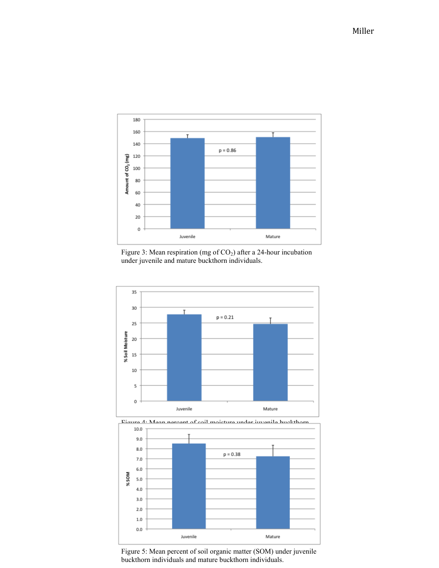





Figure 5: Mean percent of soil organic matter (SOM) under juvenile buckthorn individuals and mature buckthorn individuals.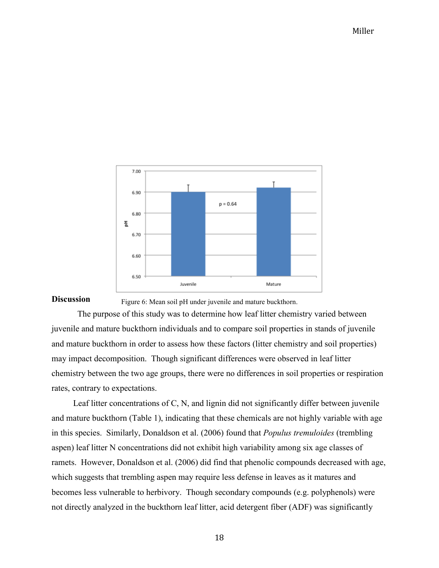

#### **Discussion** Figure 6: Mean soil pH under juvenile and mature buckthorn.

The purpose of this study was to determine how leaf litter chemistry varied between juvenile and mature buckthorn individuals and to compare soil properties in stands of juvenile and mature buckthorn in order to assess how these factors (litter chemistry and soil properties) may impact decomposition. Though significant differences were observed in leaf litter chemistry between the two age groups, there were no differences in soil properties or respiration rates, contrary to expectations.

 Leaf litter concentrations of C, N, and lignin did not significantly differ between juvenile and mature buckthorn (Table 1), indicating that these chemicals are not highly variable with age in this species. Similarly, Donaldson et al. (2006) found that *Populus tremuloides* (trembling aspen) leaf litter N concentrations did not exhibit high variability among six age classes of ramets. However, Donaldson et al. (2006) did find that phenolic compounds decreased with age, which suggests that trembling aspen may require less defense in leaves as it matures and becomes less vulnerable to herbivory. Though secondary compounds (e.g. polyphenols) were not directly analyzed in the buckthorn leaf litter, acid detergent fiber (ADF) was significantly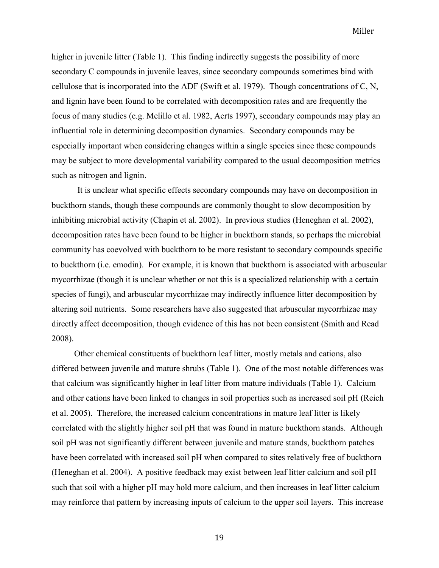higher in juvenile litter (Table 1). This finding indirectly suggests the possibility of more secondary C compounds in juvenile leaves, since secondary compounds sometimes bind with cellulose that is incorporated into the ADF (Swift et al. 1979). Though concentrations of C, N, and lignin have been found to be correlated with decomposition rates and are frequently the focus of many studies (e.g. Melillo et al. 1982, Aerts 1997), secondary compounds may play an influential role in determining decomposition dynamics. Secondary compounds may be especially important when considering changes within a single species since these compounds may be subject to more developmental variability compared to the usual decomposition metrics such as nitrogen and lignin.

It is unclear what specific effects secondary compounds may have on decomposition in buckthorn stands, though these compounds are commonly thought to slow decomposition by inhibiting microbial activity (Chapin et al. 2002). In previous studies (Heneghan et al. 2002), decomposition rates have been found to be higher in buckthorn stands, so perhaps the microbial community has coevolved with buckthorn to be more resistant to secondary compounds specific to buckthorn (i.e. emodin). For example, it is known that buckthorn is associated with arbuscular mycorrhizae (though it is unclear whether or not this is a specialized relationship with a certain species of fungi), and arbuscular mycorrhizae may indirectly influence litter decomposition by altering soil nutrients. Some researchers have also suggested that arbuscular mycorrhizae may directly affect decomposition, though evidence of this has not been consistent (Smith and Read 2008).

Other chemical constituents of buckthorn leaf litter, mostly metals and cations, also differed between juvenile and mature shrubs (Table 1). One of the most notable differences was that calcium was significantly higher in leaf litter from mature individuals (Table 1). Calcium and other cations have been linked to changes in soil properties such as increased soil pH (Reich et al. 2005). Therefore, the increased calcium concentrations in mature leaf litter is likely correlated with the slightly higher soil pH that was found in mature buckthorn stands. Although soil pH was not significantly different between juvenile and mature stands, buckthorn patches have been correlated with increased soil pH when compared to sites relatively free of buckthorn (Heneghan et al. 2004). A positive feedback may exist between leaf litter calcium and soil pH such that soil with a higher pH may hold more calcium, and then increases in leaf litter calcium may reinforce that pattern by increasing inputs of calcium to the upper soil layers. This increase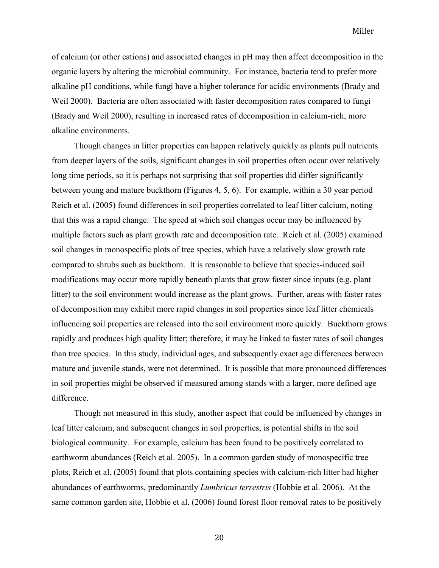of calcium (or other cations) and associated changes in pH may then affect decomposition in the organic layers by altering the microbial community. For instance, bacteria tend to prefer more alkaline pH conditions, while fungi have a higher tolerance for acidic environments (Brady and Weil 2000). Bacteria are often associated with faster decomposition rates compared to fungi (Brady and Weil 2000), resulting in increased rates of decomposition in calcium-rich, more alkaline environments.

Though changes in litter properties can happen relatively quickly as plants pull nutrients from deeper layers of the soils, significant changes in soil properties often occur over relatively long time periods, so it is perhaps not surprising that soil properties did differ significantly between young and mature buckthorn (Figures 4, 5, 6). For example, within a 30 year period Reich et al. (2005) found differences in soil properties correlated to leaf litter calcium, noting that this was a rapid change. The speed at which soil changes occur may be influenced by multiple factors such as plant growth rate and decomposition rate. Reich et al. (2005) examined soil changes in monospecific plots of tree species, which have a relatively slow growth rate compared to shrubs such as buckthorn. It is reasonable to believe that species-induced soil modifications may occur more rapidly beneath plants that grow faster since inputs (e.g. plant litter) to the soil environment would increase as the plant grows. Further, areas with faster rates of decomposition may exhibit more rapid changes in soil properties since leaf litter chemicals influencing soil properties are released into the soil environment more quickly. Buckthorn grows rapidly and produces high quality litter; therefore, it may be linked to faster rates of soil changes than tree species. In this study, individual ages, and subsequently exact age differences between mature and juvenile stands, were not determined. It is possible that more pronounced differences in soil properties might be observed if measured among stands with a larger, more defined age difference.

Though not measured in this study, another aspect that could be influenced by changes in leaf litter calcium, and subsequent changes in soil properties, is potential shifts in the soil biological community. For example, calcium has been found to be positively correlated to earthworm abundances (Reich et al. 2005). In a common garden study of monospecific tree plots, Reich et al. (2005) found that plots containing species with calcium-rich litter had higher abundances of earthworms, predominantly *Lumbricus terrestris* (Hobbie et al. 2006). At the same common garden site, Hobbie et al. (2006) found forest floor removal rates to be positively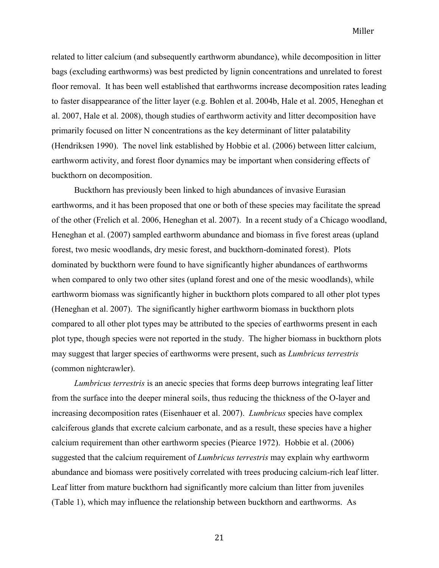related to litter calcium (and subsequently earthworm abundance), while decomposition in litter bags (excluding earthworms) was best predicted by lignin concentrations and unrelated to forest floor removal. It has been well established that earthworms increase decomposition rates leading to faster disappearance of the litter layer (e.g. Bohlen et al. 2004b, Hale et al. 2005, Heneghan et al. 2007, Hale et al. 2008), though studies of earthworm activity and litter decomposition have primarily focused on litter N concentrations as the key determinant of litter palatability (Hendriksen 1990). The novel link established by Hobbie et al. (2006) between litter calcium, earthworm activity, and forest floor dynamics may be important when considering effects of buckthorn on decomposition.

Buckthorn has previously been linked to high abundances of invasive Eurasian earthworms, and it has been proposed that one or both of these species may facilitate the spread of the other (Frelich et al. 2006, Heneghan et al. 2007). In a recent study of a Chicago woodland, Heneghan et al. (2007) sampled earthworm abundance and biomass in five forest areas (upland forest, two mesic woodlands, dry mesic forest, and buckthorn-dominated forest). Plots dominated by buckthorn were found to have significantly higher abundances of earthworms when compared to only two other sites (upland forest and one of the mesic woodlands), while earthworm biomass was significantly higher in buckthorn plots compared to all other plot types (Heneghan et al. 2007). The significantly higher earthworm biomass in buckthorn plots compared to all other plot types may be attributed to the species of earthworms present in each plot type, though species were not reported in the study. The higher biomass in buckthorn plots may suggest that larger species of earthworms were present, such as *Lumbricus terrestris* (common nightcrawler).

*Lumbricus terrestris* is an anecic species that forms deep burrows integrating leaf litter from the surface into the deeper mineral soils, thus reducing the thickness of the O-layer and increasing decomposition rates (Eisenhauer et al. 2007). *Lumbricus* species have complex calciferous glands that excrete calcium carbonate, and as a result, these species have a higher calcium requirement than other earthworm species (Piearce 1972). Hobbie et al. (2006) suggested that the calcium requirement of *Lumbricus terrestris* may explain why earthworm abundance and biomass were positively correlated with trees producing calcium-rich leaf litter. Leaf litter from mature buckthorn had significantly more calcium than litter from juveniles (Table 1), which may influence the relationship between buckthorn and earthworms. As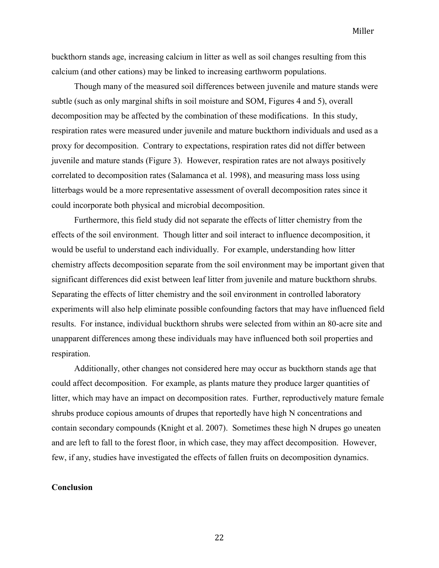buckthorn stands age, increasing calcium in litter as well as soil changes resulting from this calcium (and other cations) may be linked to increasing earthworm populations.

Though many of the measured soil differences between juvenile and mature stands were subtle (such as only marginal shifts in soil moisture and SOM, Figures 4 and 5), overall decomposition may be affected by the combination of these modifications. In this study, respiration rates were measured under juvenile and mature buckthorn individuals and used as a proxy for decomposition. Contrary to expectations, respiration rates did not differ between juvenile and mature stands (Figure 3). However, respiration rates are not always positively correlated to decomposition rates (Salamanca et al. 1998), and measuring mass loss using litterbags would be a more representative assessment of overall decomposition rates since it could incorporate both physical and microbial decomposition.

Furthermore, this field study did not separate the effects of litter chemistry from the effects of the soil environment. Though litter and soil interact to influence decomposition, it would be useful to understand each individually. For example, understanding how litter chemistry affects decomposition separate from the soil environment may be important given that significant differences did exist between leaf litter from juvenile and mature buckthorn shrubs. Separating the effects of litter chemistry and the soil environment in controlled laboratory experiments will also help eliminate possible confounding factors that may have influenced field results. For instance, individual buckthorn shrubs were selected from within an 80-acre site and unapparent differences among these individuals may have influenced both soil properties and respiration.

Additionally, other changes not considered here may occur as buckthorn stands age that could affect decomposition. For example, as plants mature they produce larger quantities of litter, which may have an impact on decomposition rates. Further, reproductively mature female shrubs produce copious amounts of drupes that reportedly have high N concentrations and contain secondary compounds (Knight et al. 2007). Sometimes these high N drupes go uneaten and are left to fall to the forest floor, in which case, they may affect decomposition. However, few, if any, studies have investigated the effects of fallen fruits on decomposition dynamics.

#### **Conclusion**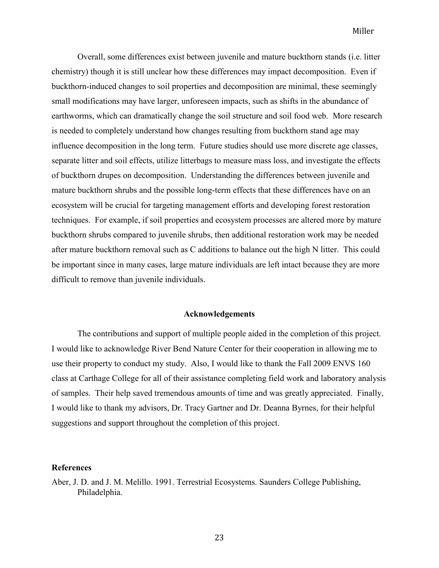Overall, some differences exist between juvenile and mature buckthorn stands (i.e. litter chemistry) though it is still unclear how these differences may impact decomposition. Even if buckthorn-induced changes to soil properties and decomposition are minimal, these seemingly small modifications may have larger, unforeseen impacts, such as shifts in the abundance of earthworms, which can dramatically change the soil structure and soil food web. More research is needed to completely understand how changes resulting from buckthorn stand age may influence decomposition in the long term. Future studies should use more discrete age classes, separate litter and soil effects, utilize litterbags to measure mass loss, and investigate the effects of buckthorn drupes on decomposition. Understanding the differences between juvenile and mature buckthorn shrubs and the possible long-term effects that these differences have on an ecosystem will be crucial for targeting management efforts and developing forest restoration techniques. For example, if soil properties and ecosystem processes are altered more by mature buckthorn shrubs compared to juvenile shrubs, then additional restoration work may be needed after mature buckthorn removal such as C additions to balance out the high N litter. This could be important since in many cases, large mature individuals are left intact because they are more difficult to remove than juvenile individuals.

### **Acknowledgements**

The contributions and support of multiple people aided in the completion of this project. I would like to acknowledge River Bend Nature Center for their cooperation in allowing me to use their property to conduct my study. Also, I would like to thank the Fall 2009 ENVS 160 class at Carthage College for all of their assistance completing field work and laboratory analysis of samples. Their help saved tremendous amounts of time and was greatly appreciated. Finally, I would like to thank my advisors, Dr. Tracy Gartner and Dr. Deanna Byrnes, for their helpful suggestions and support throughout the completion of this project.

#### **References**

Aber, J. D. and J. M. Melillo. 1991. Terrestrial Ecosystems. Saunders College Publishing, Philadelphia.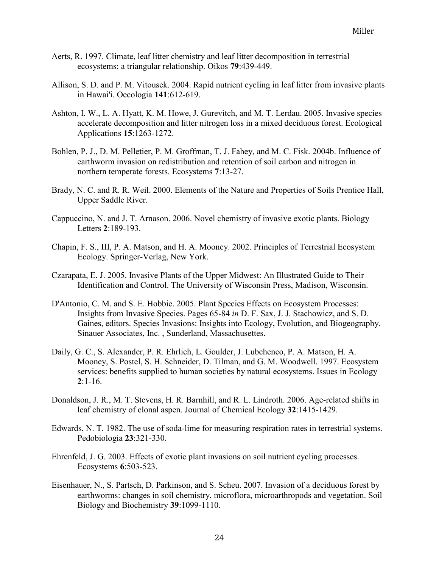- Aerts, R. 1997. Climate, leaf litter chemistry and leaf litter decomposition in terrestrial ecosystems: a triangular relationship. Oikos **79**:439-449.
- Allison, S. D. and P. M. Vitousek. 2004. Rapid nutrient cycling in leaf litter from invasive plants in Hawai'i. Oecologia **141**:612-619.
- Ashton, I. W., L. A. Hyatt, K. M. Howe, J. Gurevitch, and M. T. Lerdau. 2005. Invasive species accelerate decomposition and litter nitrogen loss in a mixed deciduous forest. Ecological Applications **15**:1263-1272.
- Bohlen, P. J., D. M. Pelletier, P. M. Groffman, T. J. Fahey, and M. C. Fisk. 2004b. Influence of earthworm invasion on redistribution and retention of soil carbon and nitrogen in northern temperate forests. Ecosystems **7**:13-27.
- Brady, N. C. and R. R. Weil. 2000. Elements of the Nature and Properties of Soils Prentice Hall, Upper Saddle River.
- Cappuccino, N. and J. T. Arnason. 2006. Novel chemistry of invasive exotic plants. Biology Letters **2**:189-193.
- Chapin, F. S., III, P. A. Matson, and H. A. Mooney. 2002. Principles of Terrestrial Ecosystem Ecology. Springer-Verlag, New York.
- Czarapata, E. J. 2005. Invasive Plants of the Upper Midwest: An Illustrated Guide to Their Identification and Control. The University of Wisconsin Press, Madison, Wisconsin.
- D'Antonio, C. M. and S. E. Hobbie. 2005. Plant Species Effects on Ecosystem Processes: Insights from Invasive Species. Pages 65-84 *in* D. F. Sax, J. J. Stachowicz, and S. D. Gaines, editors. Species Invasions: Insights into Ecology, Evolution, and Biogeography. Sinauer Associates, Inc. , Sunderland, Massachusettes.
- Daily, G. C., S. Alexander, P. R. Ehrlich, L. Goulder, J. Lubchenco, P. A. Matson, H. A. Mooney, S. Postel, S. H. Schneider, D. Tilman, and G. M. Woodwell. 1997. Ecosystem services: benefits supplied to human societies by natural ecosystems. Issues in Ecology **2**:1-16.
- Donaldson, J. R., M. T. Stevens, H. R. Barnhill, and R. L. Lindroth. 2006. Age-related shifts in leaf chemistry of clonal aspen. Journal of Chemical Ecology **32**:1415-1429.
- Edwards, N. T. 1982. The use of soda-lime for measuring respiration rates in terrestrial systems. Pedobiologia **23**:321-330.
- Ehrenfeld, J. G. 2003. Effects of exotic plant invasions on soil nutrient cycling processes. Ecosystems **6**:503-523.
- Eisenhauer, N., S. Partsch, D. Parkinson, and S. Scheu. 2007. Invasion of a deciduous forest by earthworms: changes in soil chemistry, microflora, microarthropods and vegetation. Soil Biology and Biochemistry **39**:1099-1110.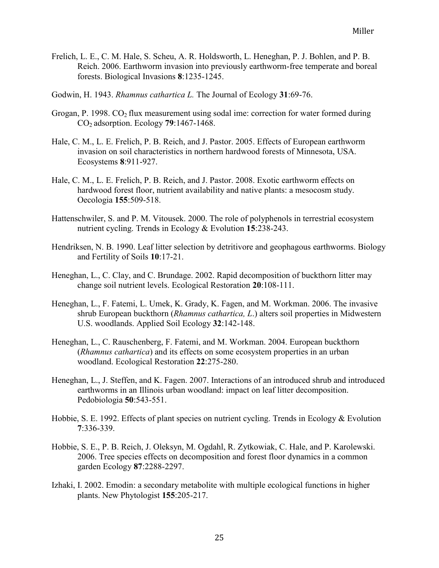- Frelich, L. E., C. M. Hale, S. Scheu, A. R. Holdsworth, L. Heneghan, P. J. Bohlen, and P. B. Reich. 2006. Earthworm invasion into previously earthworm-free temperate and boreal forests. Biological Invasions **8**:1235-1245.
- Godwin, H. 1943. *Rhamnus cathartica L.* The Journal of Ecology **31**:69-76.
- Grogan, P. 1998.  $CO<sub>2</sub>$  flux measurement using sodal ime: correction for water formed during CO2 adsorption. Ecology **79**:1467-1468.
- Hale, C. M., L. E. Frelich, P. B. Reich, and J. Pastor. 2005. Effects of European earthworm invasion on soil characteristics in northern hardwood forests of Minnesota, USA. Ecosystems **8**:911-927.
- Hale, C. M., L. E. Frelich, P. B. Reich, and J. Pastor. 2008. Exotic earthworm effects on hardwood forest floor, nutrient availability and native plants: a mesocosm study. Oecologia **155**:509-518.
- Hattenschwiler, S. and P. M. Vitousek. 2000. The role of polyphenols in terrestrial ecosystem nutrient cycling. Trends in Ecology & Evolution **15**:238-243.
- Hendriksen, N. B. 1990. Leaf litter selection by detritivore and geophagous earthworms. Biology and Fertility of Soils **10**:17-21.
- Heneghan, L., C. Clay, and C. Brundage. 2002. Rapid decomposition of buckthorn litter may change soil nutrient levels. Ecological Restoration **20**:108-111.
- Heneghan, L., F. Fatemi, L. Umek, K. Grady, K. Fagen, and M. Workman. 2006. The invasive shrub European buckthorn (*Rhamnus cathartica, L*.) alters soil properties in Midwestern U.S. woodlands. Applied Soil Ecology **32**:142-148.
- Heneghan, L., C. Rauschenberg, F. Fatemi, and M. Workman. 2004. European buckthorn (*Rhamnus cathartica*) and its effects on some ecosystem properties in an urban woodland. Ecological Restoration **22**:275-280.
- Heneghan, L., J. Steffen, and K. Fagen. 2007. Interactions of an introduced shrub and introduced earthworms in an Illinois urban woodland: impact on leaf litter decomposition. Pedobiologia **50**:543-551.
- Hobbie, S. E. 1992. Effects of plant species on nutrient cycling. Trends in Ecology & Evolution **7**:336-339.
- Hobbie, S. E., P. B. Reich, J. Oleksyn, M. Ogdahl, R. Zytkowiak, C. Hale, and P. Karolewski. 2006. Tree species effects on decomposition and forest floor dynamics in a common garden Ecology **87**:2288-2297.
- Izhaki, I. 2002. Emodin: a secondary metabolite with multiple ecological functions in higher plants. New Phytologist **155**:205-217.